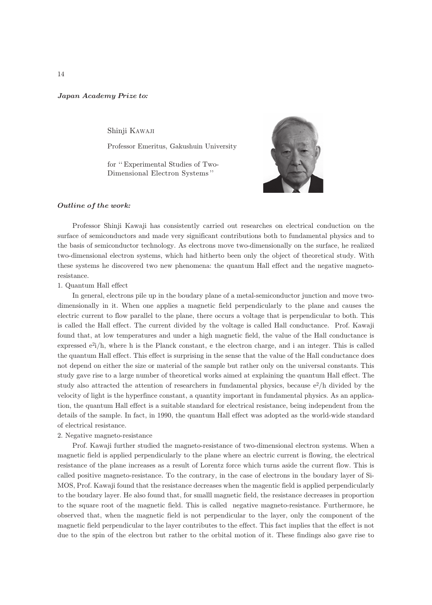## Japan Academy Prize to*:*

Shinji KAWAJI

Professor Emeritus, Gakushuin University

for ''Experimental Studies of Two-Dimensional Electron Systems''



## Outline of the work*:*

Professor Shinji Kawaji has consistently carried out researches on electrical conduction on the surface of semiconductors and made very significant contributions both to fundamental physics and to the basis of semiconductor technology. As electrons move two-dimensionally on the surface, he realized two-dimensional electron systems, which had hitherto been only the object of theoretical study. With these systems he discovered two new phenomena: the quantum Hall effect and the negative magnetoresistance.

1. Quantum Hall effect

In general, electrons pile up in the boudary plane of a metal-semiconductor junction and move twodimensionally in it. When one applies a magnetic field perpendicularly to the plane and causes the electric current to flow parallel to the plane, there occurs a voltage that is perpendicular to both. This is called the Hall effect. The current divided by the voltage is called Hall conductance. Prof. Kawaji found that, at low temperatures and under a high magnetic field, the value of the Hall conductance is expressed  $e^{2i}/h$ , where h is the Planck constant, e the electron charge, and i an integer. This is called the quantum Hall effect. This effect is surprising in the sense that the value of the Hall conductance does not depend on either the size or material of the sample but rather only on the universal constants. This study gave rise to a large number of theoretical works aimed at explaining the quantum Hall effect. The study also attracted the attention of researchers in fundamental physics, because  $e^2/h$  divided by the velocity of light is the hyperfince constant, a quantity important in fundamental physics. As an application, the quantum Hall effect is a suitable standard for electrical resistance, being independent from the details of the sample. In fact, in 1990, the quantum Hall effect was adopted as the world-wide standard of electrical resistance.

## 2. Negative magneto-resistance

Prof. Kawaji further studied the magneto-resistance of two-dimensional electron systems. When a magnetic field is applied perpendicularly to the plane where an electric current is flowing, the electrical resistance of the plane increases as a result of Lorentz force which turns aside the current flow. This is called positive magneto-resistance. To the contrary, in the case of electrons in the boudary layer of Si-MOS, Prof. Kawaji found that the resistance decreases when the magentic field is applied perpendicularly to the boudary layer. He also found that, for smalll magnetic field, the resistance decreases in proportion to the square root of the magnetic field. This is called negative magneto-resistance. Furthermore, he observed that, when the magnetic field is not perpendicular to the layer, only the component of the magnetic field perpendicular to the layer contributes to the effect. This fact implies that the effect is not due to the spin of the electron but rather to the orbital motion of it. These findings also gave rise to